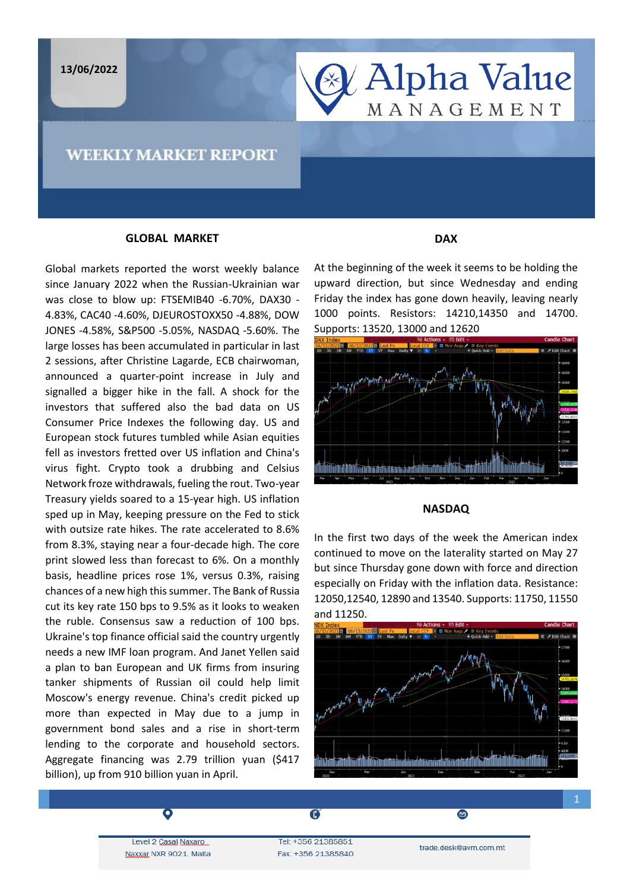

## **GLOBAL MARKET**

Global markets reported the worst weekly balance since January 2022 when the Russian-Ukrainian war was close to blow up: FTSEMIB40 -6.70%, DAX30 - 4.83%, CAC40 -4.60%, DJEUROSTOXX50 -4.88%, DOW JONES -4.58%, S&P500 -5.05%, NASDAQ -5.60%. The large losses has been accumulated in particular in last 2 sessions, after Christine Lagarde, ECB chairwoman, announced a quarter-point increase in July and signalled a bigger hike in the fall. A shock for the investors that suffered also the bad data on US Consumer Price Indexes the following day. US and European stock futures tumbled while Asian equities fell as investors fretted over US inflation and China's virus fight. Crypto took a drubbing and Celsius Network froze withdrawals, fueling the rout. Two-year Treasury yields soared to a 15-year high. US inflation sped up in May, keeping pressure on the Fed to stick with outsize rate hikes. The rate accelerated to 8.6% from 8.3%, staying near a four-decade high. The core print slowed less than forecast to 6%. On a monthly basis, headline prices rose 1%, versus 0.3%, raising chances of a new high this summer. The Bank of Russia cut its key rate 150 bps to 9.5% as it looks to weaken the ruble. Consensus saw a reduction of 100 bps. Ukraine's top finance official said the country urgently needs a new IMF loan program. And Janet Yellen said a plan to ban European and UK firms from insuring tanker shipments of Russian oil could help limit Moscow's energy revenue. China's credit picked up more than expected in May due to a jump in government bond sales and a rise in short-term lending to the corporate and household sectors. Aggregate financing was 2.79 trillion yuan (\$417 billion), up from 910 billion yuan in April.

## **DAX**

 $\begin{array}{c} \hline \end{array}$ 

At the beginning of the week it seems to be holding the upward direction, but since Wednesday and ending Friday the index has gone down heavily, leaving nearly 1000 points. Resistors: 14210,14350 and 14700. Supports: 13520, 13000 and 12620



### **NASDAQ**

In the first two days of the week the American index continued to move on the laterality started on May 27 but since Thursday gone down with force and direction especially on Friday with the inflation data. Resistance: 12050,12540, 12890 and 13540. Supports: 11750, 11550 and 11250.



Level 2 Casal Naxaro Naxxar NXR 9021. Malta

Tel: +356 21385851 Fax: +356 21385840

 $\overline{\mathbf{G}}$ 

trade.desk@avm.com.mt

◙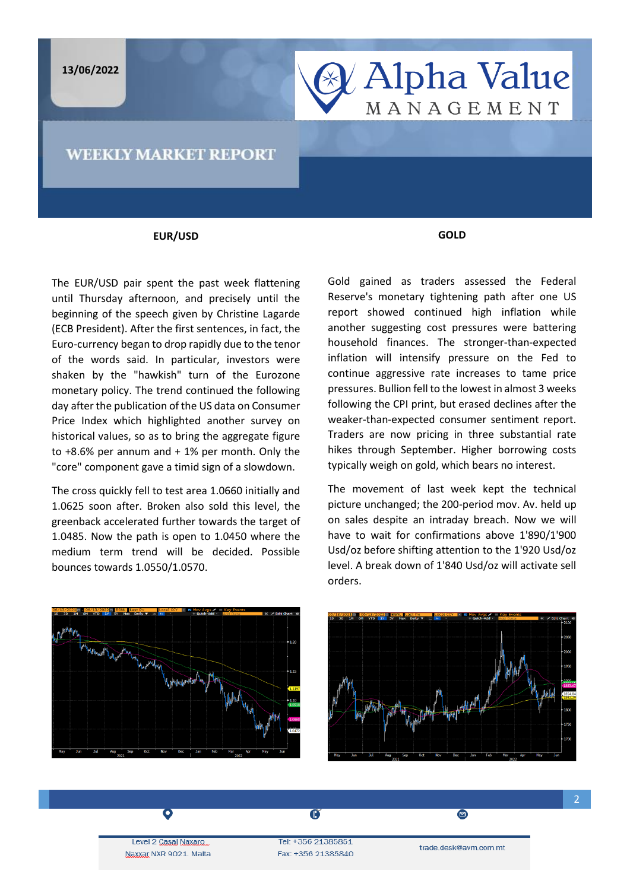



## **WEEKLY MARKET REPORT**

#### **EUR/USD**

The EUR/USD pair spent the past week flattening until Thursday afternoon, and precisely until the beginning of the speech given by Christine Lagarde (ECB President). After the first sentences, in fact, the Euro-currency began to drop rapidly due to the tenor of the words said. In particular, investors were shaken by the "hawkish" turn of the Eurozone monetary policy. The trend continued the following day after the publication of the US data on Consumer Price Index which highlighted another survey on historical values, so as to bring the aggregate figure to  $+8.6\%$  per annum and  $+1\%$  per month. Only the "core" component gave a timid sign of a slowdown.

The cross quickly fell to test area 1.0660 initially and 1.0625 soon after. Broken also sold this level, the greenback accelerated further towards the target of 1.0485. Now the path is open to 1.0450 where the medium term trend will be decided. Possible bounces towards 1.0550/1.0570.

**GOLD**

Gold gained as traders assessed the Federal Reserve's monetary tightening path after one US report showed continued high inflation while another suggesting cost pressures were battering household finances. The stronger-than-expected inflation will intensify pressure on the Fed to continue aggressive rate increases to tame price pressures. Bullion fell to the lowest in almost 3 weeks following the CPI print, but erased declines after the weaker-than-expected consumer sentiment report. Traders are now pricing in three substantial rate hikes through September. Higher borrowing costs typically weigh on gold, which bears no interest.

The movement of last week kept the technical picture unchanged; the 200-period mov. Av. held up on sales despite an intraday breach. Now we will have to wait for confirmations above 1'890/1'900 Usd/oz before shifting attention to the 1'920 Usd/oz level. A break down of 1'840 Usd/oz will activate sell orders.





Level 2 Casal Naxaro Naxxar NXR 9021. Malta

Ō

Tel: +356 21385851 Fax: +356 21385840

 $\overline{\mathbf{G}}$ 

trade.desk@avm.com.mt

 $\blacksquare$